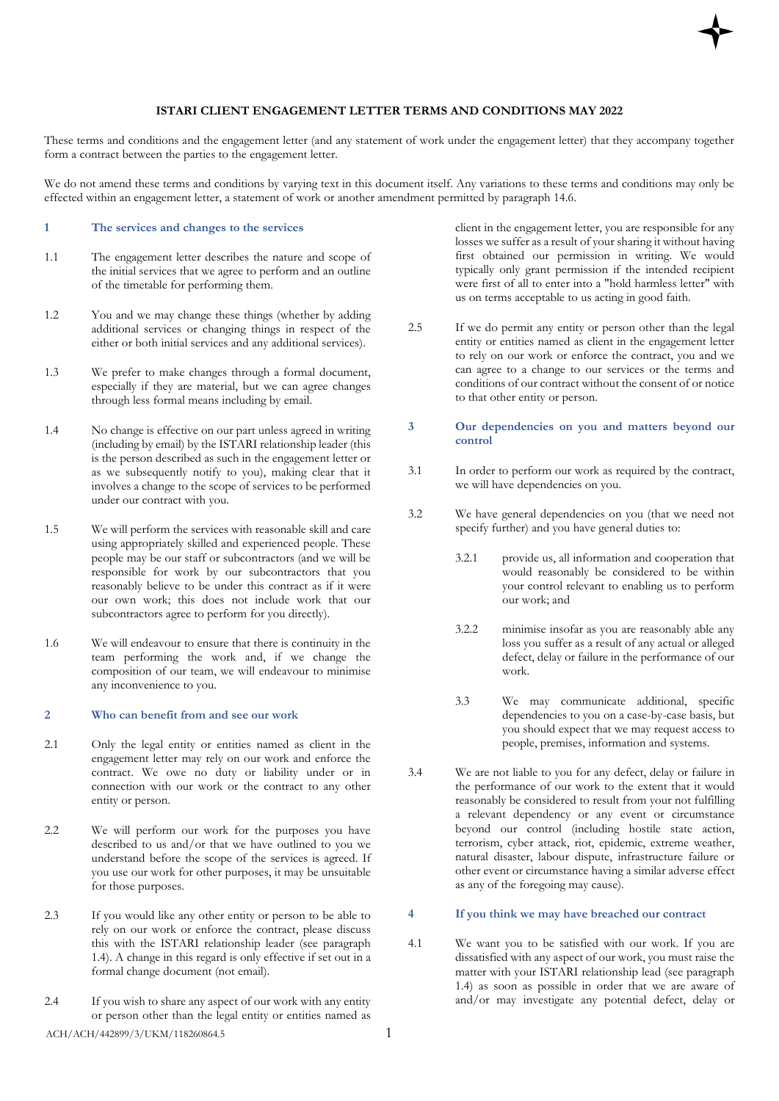# **ISTARI CLIENT ENGAGEMENT LETTER TERMS AND CONDITIONS MAY 2022**

These terms and conditions and the engagement letter (and any statement of work under the engagement letter) that they accompany together form a contract between the parties to the engagement letter.

We do not amend these terms and conditions by varying text in this document itself. Any variations to these terms and conditions may only be effected within an engagement letter, a statement of work or another amendment permitted by paragraph 14.6.

### **1 The services and changes to the services**

- 1.1 The engagement letter describes the nature and scope of the initial services that we agree to perform and an outline of the timetable for performing them.
- 1.2 You and we may change these things (whether by adding additional services or changing things in respect of the either or both initial services and any additional services).
- 1.3 We prefer to make changes through a formal document, especially if they are material, but we can agree changes through less formal means including by email.
- 1.4 No change is effective on our part unless agreed in writing (including by email) by the ISTARI relationship leader (this is the person described as such in the engagement letter or as we subsequently notify to you), making clear that it involves a change to the scope of services to be performed under our contract with you.
- 1.5 We will perform the services with reasonable skill and care using appropriately skilled and experienced people. These people may be our staff or subcontractors (and we will be responsible for work by our subcontractors that you reasonably believe to be under this contract as if it were our own work; this does not include work that our subcontractors agree to perform for you directly).
- 1.6 We will endeavour to ensure that there is continuity in the team performing the work and, if we change the composition of our team, we will endeavour to minimise any inconvenience to you.

#### **2 Who can benefit from and see our work**

- 2.1 Only the legal entity or entities named as client in the engagement letter may rely on our work and enforce the contract. We owe no duty or liability under or in connection with our work or the contract to any other entity or person.
- 2.2 We will perform our work for the purposes you have described to us and/or that we have outlined to you we understand before the scope of the services is agreed. If you use our work for other purposes, it may be unsuitable for those purposes.
- 2.3 If you would like any other entity or person to be able to rely on our work or enforce the contract, please discuss this with the ISTARI relationship leader (see paragraph 1.4). A change in this regard is only effective if set out in a formal change document (not email).
- 2.4 If you wish to share any aspect of our work with any entity or person other than the legal entity or entities named as

client in the engagement letter, you are responsible for any losses we suffer as a result of your sharing it without having first obtained our permission in writing. We would typically only grant permission if the intended recipient were first of all to enter into a "hold harmless letter" with us on terms acceptable to us acting in good faith.

- 2.5 If we do permit any entity or person other than the legal entity or entities named as client in the engagement letter to rely on our work or enforce the contract, you and we can agree to a change to our services or the terms and conditions of our contract without the consent of or notice to that other entity or person.
- **3 Our dependencies on you and matters beyond our control**
- 3.1 In order to perform our work as required by the contract, we will have dependencies on you.
- 3.2 We have general dependencies on you (that we need not specify further) and you have general duties to:
	- 3.2.1 provide us, all information and cooperation that would reasonably be considered to be within your control relevant to enabling us to perform our work; and
	- 3.2.2 minimise insofar as you are reasonably able any loss you suffer as a result of any actual or alleged defect, delay or failure in the performance of our work.
	- 3.3 We may communicate additional, specific dependencies to you on a case-by-case basis, but you should expect that we may request access to people, premises, information and systems.
- 3.4 We are not liable to you for any defect, delay or failure in the performance of our work to the extent that it would reasonably be considered to result from your not fulfilling a relevant dependency or any event or circumstance beyond our control (including hostile state action, terrorism, cyber attack, riot, epidemic, extreme weather, natural disaster, labour dispute, infrastructure failure or other event or circumstance having a similar adverse effect as any of the foregoing may cause).

## **4 If you think we may have breached our contract**

4.1 We want you to be satisfied with our work. If you are dissatisfied with any aspect of our work, you must raise the matter with your ISTARI relationship lead (see paragraph 1.4) as soon as possible in order that we are aware of and/or may investigate any potential defect, delay or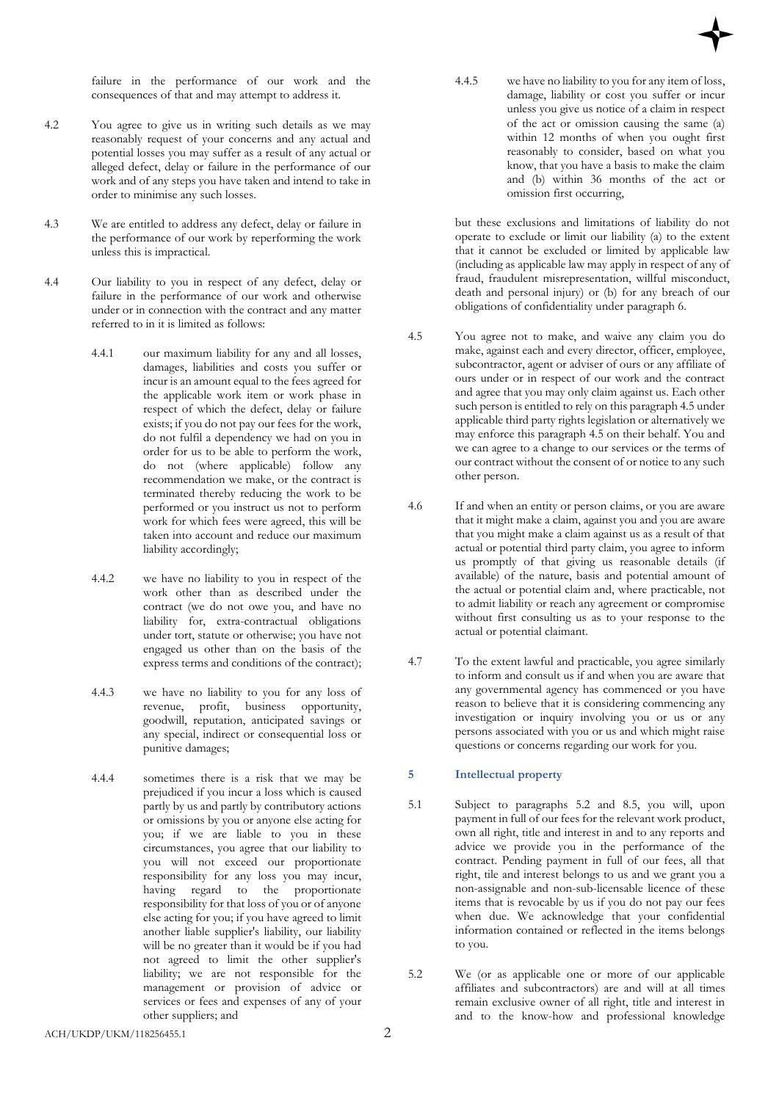failure in the performance of our work and the consequences of that and may attempt to address it.

- 4.2 You agree to give us in writing such details as we may reasonably request of your concerns and any actual and potential losses you may suffer as a result of any actual or alleged defect, delay or failure in the performance of our work and of any steps you have taken and intend to take in order to minimise any such losses.
- 4.3 We are entitled to address any defect, delay or failure in the performance of our work by reperforming the work unless this is impractical.
- 4.4 Our liability to you in respect of any defect, delay or failure in the performance of our work and otherwise under or in connection with the contract and any matter referred to in it is limited as follows:
	- 4.4.1 our maximum liability for any and all losses, damages, liabilities and costs you suffer or incur is an amount equal to the fees agreed for the applicable work item or work phase in respect of which the defect, delay or failure exists; if you do not pay our fees for the work, do not fulfil a dependency we had on you in order for us to be able to perform the work, do not (where applicable) follow any recommendation we make, or the contract is terminated thereby reducing the work to be performed or you instruct us not to perform work for which fees were agreed, this will be taken into account and reduce our maximum liability accordingly;
	- 4.4.2 we have no liability to you in respect of the work other than as described under the contract (we do not owe you, and have no liability for, extra-contractual obligations under tort, statute or otherwise; you have not engaged us other than on the basis of the express terms and conditions of the contract);
	- 4.4.3 we have no liability to you for any loss of revenue, profit, business opportunity, goodwill, reputation, anticipated savings or any special, indirect or consequential loss or punitive damages;
	- 4.4.4 sometimes there is a risk that we may be prejudiced if you incur a loss which is caused partly by us and partly by contributory actions or omissions by you or anyone else acting for you; if we are liable to you in these circumstances, you agree that our liability to you will not exceed our proportionate responsibility for any loss you may incur, having regard to the proportionate responsibility for that loss of you or of anyone else acting for you; if you have agreed to limit another liable supplier's liability, our liability will be no greater than it would be if you had not agreed to limit the other supplier's liability; we are not responsible for the management or provision of advice or services or fees and expenses of any of your other suppliers; and

4.4.5 we have no liability to you for any item of loss, damage, liability or cost you suffer or incur unless you give us notice of a claim in respect of the act or omission causing the same (a) within 12 months of when you ought first reasonably to consider, based on what you know, that you have a basis to make the claim and (b) within 36 months of the act or

omission first occurring,

but these exclusions and limitations of liability do not operate to exclude or limit our liability (a) to the extent that it cannot be excluded or limited by applicable law (including as applicable law may apply in respect of any of fraud, fraudulent misrepresentation, willful misconduct, death and personal injury) or (b) for any breach of our obligations of confidentiality under paragraph 6.

- 4.5 You agree not to make, and waive any claim you do make, against each and every director, officer, employee, subcontractor, agent or adviser of ours or any affiliate of ours under or in respect of our work and the contract and agree that you may only claim against us. Each other such person is entitled to rely on this paragraph 4.5 under applicable third party rights legislation or alternatively we may enforce this paragraph 4.5 on their behalf. You and we can agree to a change to our services or the terms of our contract without the consent of or notice to any such other person.
- 4.6 If and when an entity or person claims, or you are aware that it might make a claim, against you and you are aware that you might make a claim against us as a result of that actual or potential third party claim, you agree to inform us promptly of that giving us reasonable details (if available) of the nature, basis and potential amount of the actual or potential claim and, where practicable, not to admit liability or reach any agreement or compromise without first consulting us as to your response to the actual or potential claimant.
- 4.7 To the extent lawful and practicable, you agree similarly to inform and consult us if and when you are aware that any governmental agency has commenced or you have reason to believe that it is considering commencing any investigation or inquiry involving you or us or any persons associated with you or us and which might raise questions or concerns regarding our work for you.

# **5 Intellectual property**

- 5.1 Subject to paragraphs 5.2 and 8.5, you will, upon payment in full of our fees for the relevant work product, own all right, title and interest in and to any reports and advice we provide you in the performance of the contract. Pending payment in full of our fees, all that right, tile and interest belongs to us and we grant you a non-assignable and non-sub-licensable licence of these items that is revocable by us if you do not pay our fees when due. We acknowledge that your confidential information contained or reflected in the items belongs to you.
- 5.2 We (or as applicable one or more of our applicable affiliates and subcontractors) are and will at all times remain exclusive owner of all right, title and interest in and to the know-how and professional knowledge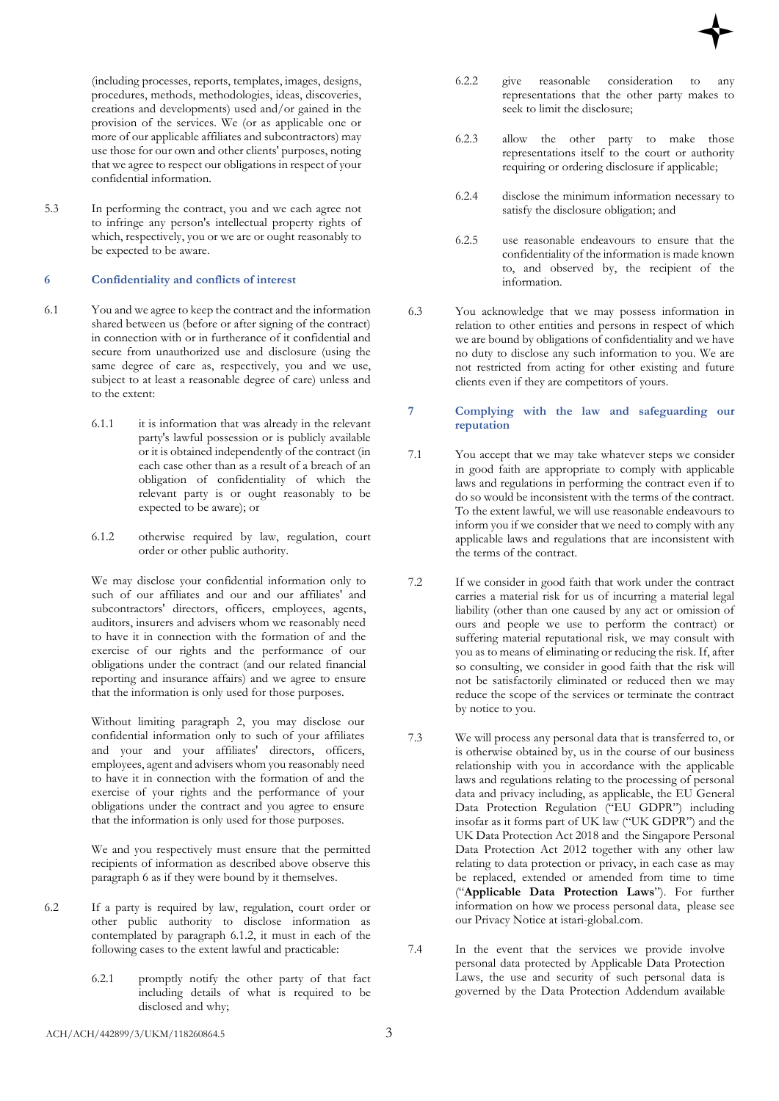

(including processes, reports, templates, images, designs, procedures, methods, methodologies, ideas, discoveries, creations and developments) used and/or gained in the provision of the services. We (or as applicable one or more of our applicable affiliates and subcontractors) may use those for our own and other clients' purposes, noting that we agree to respect our obligations in respect of your confidential information.

5.3 In performing the contract, you and we each agree not to infringe any person's intellectual property rights of which, respectively, you or we are or ought reasonably to be expected to be aware.

## **6 Confidentiality and conflicts of interest**

- 6.1 You and we agree to keep the contract and the information shared between us (before or after signing of the contract) in connection with or in furtherance of it confidential and secure from unauthorized use and disclosure (using the same degree of care as, respectively, you and we use, subject to at least a reasonable degree of care) unless and to the extent:
	- 6.1.1 it is information that was already in the relevant party's lawful possession or is publicly available or it is obtained independently of the contract (in each case other than as a result of a breach of an obligation of confidentiality of which the relevant party is or ought reasonably to be expected to be aware); or
	- 6.1.2 otherwise required by law, regulation, court order or other public authority.

We may disclose your confidential information only to such of our affiliates and our and our affiliates' and subcontractors' directors, officers, employees, agents, auditors, insurers and advisers whom we reasonably need to have it in connection with the formation of and the exercise of our rights and the performance of our obligations under the contract (and our related financial reporting and insurance affairs) and we agree to ensure that the information is only used for those purposes.

Without limiting paragraph 2, you may disclose our confidential information only to such of your affiliates and your and your affiliates' directors, officers, employees, agent and advisers whom you reasonably need to have it in connection with the formation of and the exercise of your rights and the performance of your obligations under the contract and you agree to ensure that the information is only used for those purposes.

We and you respectively must ensure that the permitted recipients of information as described above observe this paragraph 6 as if they were bound by it themselves.

- 6.2 If a party is required by law, regulation, court order or other public authority to disclose information as contemplated by paragraph 6.1.2, it must in each of the following cases to the extent lawful and practicable:
	- 6.2.1 promptly notify the other party of that fact including details of what is required to be disclosed and why;
- 6.2.2 give reasonable consideration to any representations that the other party makes to seek to limit the disclosure;
- 6.2.3 allow the other party to make those representations itself to the court or authority requiring or ordering disclosure if applicable;
- 6.2.4 disclose the minimum information necessary to satisfy the disclosure obligation; and
- 6.2.5 use reasonable endeavours to ensure that the confidentiality of the information is made known to, and observed by, the recipient of the information.
- 6.3 You acknowledge that we may possess information in relation to other entities and persons in respect of which we are bound by obligations of confidentiality and we have no duty to disclose any such information to you. We are not restricted from acting for other existing and future clients even if they are competitors of yours.
- **7 Complying with the law and safeguarding our reputation**
- 7.1 You accept that we may take whatever steps we consider in good faith are appropriate to comply with applicable laws and regulations in performing the contract even if to do so would be inconsistent with the terms of the contract. To the extent lawful, we will use reasonable endeavours to inform you if we consider that we need to comply with any applicable laws and regulations that are inconsistent with the terms of the contract.
- 7.2 If we consider in good faith that work under the contract carries a material risk for us of incurring a material legal liability (other than one caused by any act or omission of ours and people we use to perform the contract) or suffering material reputational risk, we may consult with you as to means of eliminating or reducing the risk. If, after so consulting, we consider in good faith that the risk will not be satisfactorily eliminated or reduced then we may reduce the scope of the services or terminate the contract by notice to you.
- 7.3 We will process any personal data that is transferred to, or is otherwise obtained by, us in the course of our business relationship with you in accordance with the applicable laws and regulations relating to the processing of personal data and privacy including, as applicable, the EU General Data Protection Regulation ("EU GDPR") including insofar as it forms part of UK law ("UK GDPR") and the UK Data Protection Act 2018 and the Singapore Personal Data Protection Act 2012 together with any other law relating to data protection or privacy, in each case as may be replaced, extended or amended from time to time ("**Applicable Data Protection Laws**"). For further information on how we process personal data, please see our Privacy Notice at istari-global.com.
- 7.4 In the event that the services we provide involve personal data protected by Applicable Data Protection Laws, the use and security of such personal data is governed by the Data Protection Addendum available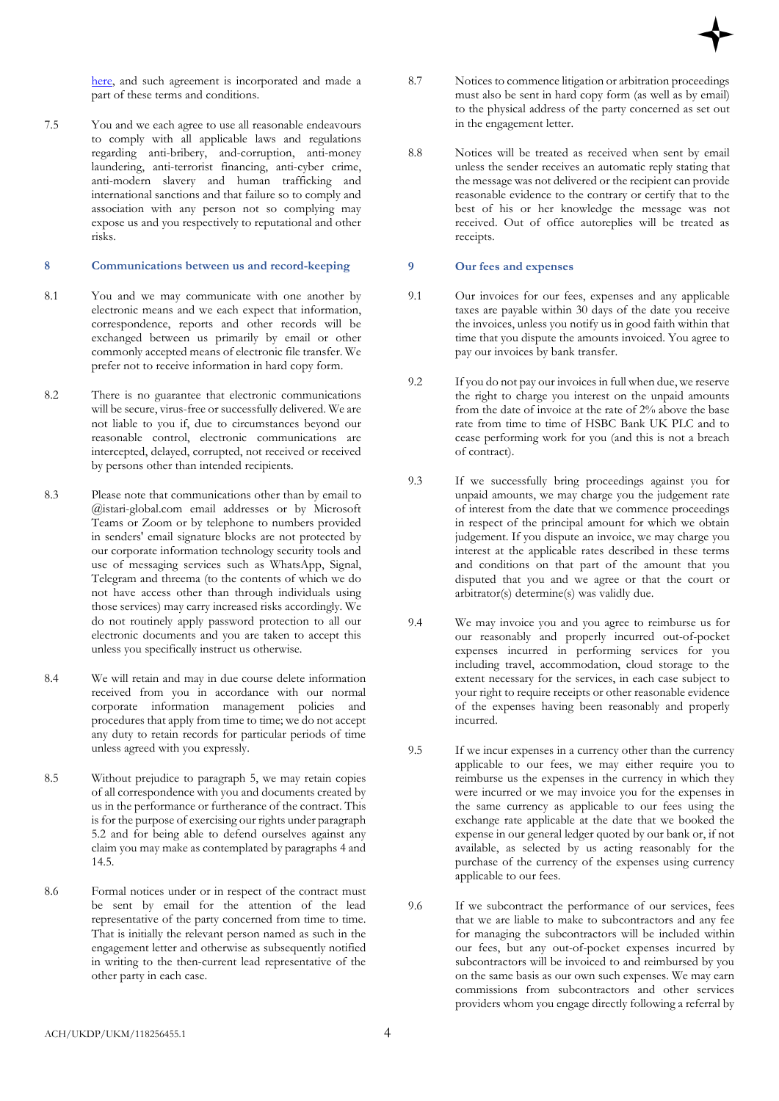

[here,](https://istari-global.com/assets/PDFs/ISTARI-DATA-PROTECTION-ADDENDUM.pdf) and such agreement is incorporated and made a part of these terms and conditions.

7.5 You and we each agree to use all reasonable endeavours to comply with all applicable laws and regulations regarding anti-bribery, and-corruption, anti-money laundering, anti-terrorist financing, anti-cyber crime, anti-modern slavery and human trafficking and international sanctions and that failure so to comply and association with any person not so complying may expose us and you respectively to reputational and other risks.

## **8 Communications between us and record-keeping**

- 8.1 You and we may communicate with one another by electronic means and we each expect that information, correspondence, reports and other records will be exchanged between us primarily by email or other commonly accepted means of electronic file transfer. We prefer not to receive information in hard copy form.
- 8.2 There is no guarantee that electronic communications will be secure, virus-free or successfully delivered. We are not liable to you if, due to circumstances beyond our reasonable control, electronic communications are intercepted, delayed, corrupted, not received or received by persons other than intended recipients.
- 8.3 Please note that communications other than by email to @istari-global.com email addresses or by Microsoft Teams or Zoom or by telephone to numbers provided in senders' email signature blocks are not protected by our corporate information technology security tools and use of messaging services such as WhatsApp, Signal, Telegram and threema (to the contents of which we do not have access other than through individuals using those services) may carry increased risks accordingly. We do not routinely apply password protection to all our electronic documents and you are taken to accept this unless you specifically instruct us otherwise.
- 8.4 We will retain and may in due course delete information received from you in accordance with our normal corporate information management policies and procedures that apply from time to time; we do not accept any duty to retain records for particular periods of time unless agreed with you expressly.
- 8.5 Without prejudice to paragraph 5, we may retain copies of all correspondence with you and documents created by us in the performance or furtherance of the contract. This is for the purpose of exercising our rights under paragraph 5.2 and for being able to defend ourselves against any claim you may make as contemplated by paragraphs 4 and 14.5.
- 8.6 Formal notices under or in respect of the contract must be sent by email for the attention of the lead representative of the party concerned from time to time. That is initially the relevant person named as such in the engagement letter and otherwise as subsequently notified in writing to the then-current lead representative of the other party in each case.
- 8.7 Notices to commence litigation or arbitration proceedings must also be sent in hard copy form (as well as by email) to the physical address of the party concerned as set out in the engagement letter.
- 8.8 Notices will be treated as received when sent by email unless the sender receives an automatic reply stating that the message was not delivered or the recipient can provide reasonable evidence to the contrary or certify that to the best of his or her knowledge the message was not received. Out of office autoreplies will be treated as receipts.

# **9 Our fees and expenses**

- 9.1 Our invoices for our fees, expenses and any applicable taxes are payable within 30 days of the date you receive the invoices, unless you notify us in good faith within that time that you dispute the amounts invoiced. You agree to pay our invoices by bank transfer.
- 9.2 If you do not pay our invoices in full when due, we reserve the right to charge you interest on the unpaid amounts from the date of invoice at the rate of 2% above the base rate from time to time of HSBC Bank UK PLC and to cease performing work for you (and this is not a breach of contract).
- 9.3 If we successfully bring proceedings against you for unpaid amounts, we may charge you the judgement rate of interest from the date that we commence proceedings in respect of the principal amount for which we obtain judgement. If you dispute an invoice, we may charge you interest at the applicable rates described in these terms and conditions on that part of the amount that you disputed that you and we agree or that the court or arbitrator(s) determine(s) was validly due.
- 9.4 We may invoice you and you agree to reimburse us for our reasonably and properly incurred out-of-pocket expenses incurred in performing services for you including travel, accommodation, cloud storage to the extent necessary for the services, in each case subject to your right to require receipts or other reasonable evidence of the expenses having been reasonably and properly incurred.
- 9.5 If we incur expenses in a currency other than the currency applicable to our fees, we may either require you to reimburse us the expenses in the currency in which they were incurred or we may invoice you for the expenses in the same currency as applicable to our fees using the exchange rate applicable at the date that we booked the expense in our general ledger quoted by our bank or, if not available, as selected by us acting reasonably for the purchase of the currency of the expenses using currency applicable to our fees.
- 9.6 If we subcontract the performance of our services, fees that we are liable to make to subcontractors and any fee for managing the subcontractors will be included within our fees, but any out-of-pocket expenses incurred by subcontractors will be invoiced to and reimbursed by you on the same basis as our own such expenses. We may earn commissions from subcontractors and other services providers whom you engage directly following a referral by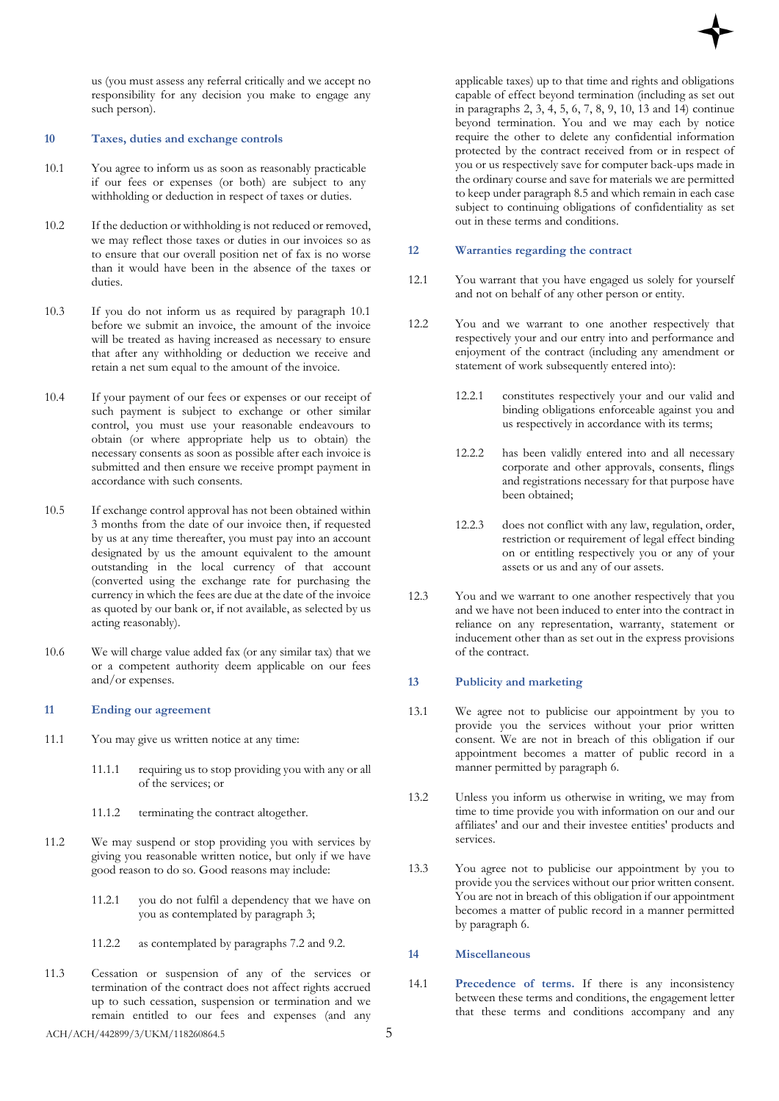us (you must assess any referral critically and we accept no responsibility for any decision you make to engage any such person).

### **10 Taxes, duties and exchange controls**

- 10.1 You agree to inform us as soon as reasonably practicable if our fees or expenses (or both) are subject to any withholding or deduction in respect of taxes or duties.
- 10.2 If the deduction or withholding is not reduced or removed, we may reflect those taxes or duties in our invoices so as to ensure that our overall position net of fax is no worse than it would have been in the absence of the taxes or duties.
- 10.3 If you do not inform us as required by paragraph 10.1 before we submit an invoice, the amount of the invoice will be treated as having increased as necessary to ensure that after any withholding or deduction we receive and retain a net sum equal to the amount of the invoice.
- 10.4 If your payment of our fees or expenses or our receipt of such payment is subject to exchange or other similar control, you must use your reasonable endeavours to obtain (or where appropriate help us to obtain) the necessary consents as soon as possible after each invoice is submitted and then ensure we receive prompt payment in accordance with such consents.
- 10.5 If exchange control approval has not been obtained within 3 months from the date of our invoice then, if requested by us at any time thereafter, you must pay into an account designated by us the amount equivalent to the amount outstanding in the local currency of that account (converted using the exchange rate for purchasing the currency in which the fees are due at the date of the invoice as quoted by our bank or, if not available, as selected by us acting reasonably).
- 10.6 We will charge value added fax (or any similar tax) that we or a competent authority deem applicable on our fees and/or expenses.

# **11 Ending our agreement**

11.1 You may give us written notice at any time:

11.1.1 requiring us to stop providing you with any or all of the services; or

- 11.1.2 terminating the contract altogether.
- 11.2 We may suspend or stop providing you with services by giving you reasonable written notice, but only if we have good reason to do so. Good reasons may include:
	- 11.2.1 you do not fulfil a dependency that we have on you as contemplated by paragraph 3;
	- 11.2.2 as contemplated by paragraphs 7.2 and 9.2.
- 11.3 Cessation or suspension of any of the services or termination of the contract does not affect rights accrued up to such cessation, suspension or termination and we remain entitled to our fees and expenses (and any

applicable taxes) up to that time and rights and obligations capable of effect beyond termination (including as set out in paragraphs 2, 3, 4, 5, 6, 7, 8, 9, 10, 13 and 14) continue beyond termination. You and we may each by notice require the other to delete any confidential information protected by the contract received from or in respect of you or us respectively save for computer back-ups made in the ordinary course and save for materials we are permitted to keep under paragraph 8.5 and which remain in each case subject to continuing obligations of confidentiality as set out in these terms and conditions.

## **12 Warranties regarding the contract**

- 12.1 You warrant that you have engaged us solely for yourself and not on behalf of any other person or entity.
- 12.2 You and we warrant to one another respectively that respectively your and our entry into and performance and enjoyment of the contract (including any amendment or statement of work subsequently entered into):
	- 12.2.1 constitutes respectively your and our valid and binding obligations enforceable against you and us respectively in accordance with its terms;
	- 12.2.2 has been validly entered into and all necessary corporate and other approvals, consents, flings and registrations necessary for that purpose have been obtained;
	- 12.2.3 does not conflict with any law, regulation, order, restriction or requirement of legal effect binding on or entitling respectively you or any of your assets or us and any of our assets.
- 12.3 You and we warrant to one another respectively that you and we have not been induced to enter into the contract in reliance on any representation, warranty, statement or inducement other than as set out in the express provisions of the contract.

### **13 Publicity and marketing**

- 13.1 We agree not to publicise our appointment by you to provide you the services without your prior written consent. We are not in breach of this obligation if our appointment becomes a matter of public record in a manner permitted by paragraph 6.
- 13.2 Unless you inform us otherwise in writing, we may from time to time provide you with information on our and our affiliates' and our and their investee entities' products and services.
- 13.3 You agree not to publicise our appointment by you to provide you the services without our prior written consent. You are not in breach of this obligation if our appointment becomes a matter of public record in a manner permitted by paragraph 6.

# **14 Miscellaneous**

14.1 **Precedence of terms.** If there is any inconsistency between these terms and conditions, the engagement letter that these terms and conditions accompany and any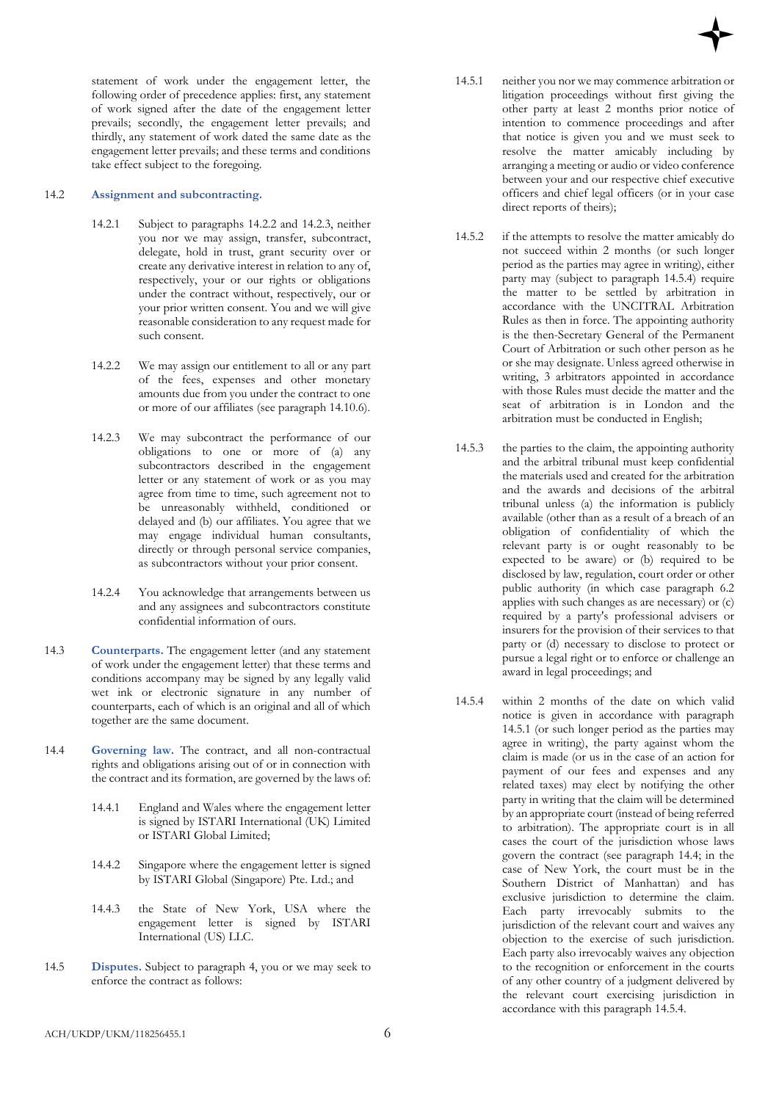statement of work under the engagement letter, the following order of precedence applies: first, any statement of work signed after the date of the engagement letter prevails; secondly, the engagement letter prevails; and thirdly, any statement of work dated the same date as the engagement letter prevails; and these terms and conditions take effect subject to the foregoing.

### 14.2 **Assignment and subcontracting.**

- 14.2.1 Subject to paragraphs 14.2.2 and 14.2.3, neither you nor we may assign, transfer, subcontract, delegate, hold in trust, grant security over or create any derivative interest in relation to any of, respectively, your or our rights or obligations under the contract without, respectively, our or your prior written consent. You and we will give reasonable consideration to any request made for such consent.
- 14.2.2 We may assign our entitlement to all or any part of the fees, expenses and other monetary amounts due from you under the contract to one or more of our affiliates (see paragraph 14.10.6).
- 14.2.3 We may subcontract the performance of our obligations to one or more of (a) any subcontractors described in the engagement letter or any statement of work or as you may agree from time to time, such agreement not to be unreasonably withheld, conditioned or delayed and (b) our affiliates. You agree that we may engage individual human consultants, directly or through personal service companies, as subcontractors without your prior consent.
- 14.2.4 You acknowledge that arrangements between us and any assignees and subcontractors constitute confidential information of ours.
- 14.3 **Counterparts.** The engagement letter (and any statement of work under the engagement letter) that these terms and conditions accompany may be signed by any legally valid wet ink or electronic signature in any number of counterparts, each of which is an original and all of which together are the same document.
- 14.4 **Governing law.** The contract, and all non-contractual rights and obligations arising out of or in connection with the contract and its formation, are governed by the laws of:
	- 14.4.1 England and Wales where the engagement letter is signed by ISTARI International (UK) Limited or ISTARI Global Limited;
	- 14.4.2 Singapore where the engagement letter is signed by ISTARI Global (Singapore) Pte. Ltd.; and
	- 14.4.3 the State of New York, USA where the engagement letter is signed by ISTARI International (US) LLC.
- 14.5 **Disputes.** Subject to paragraph 4, you or we may seek to enforce the contract as follows:
- 14.5.1 neither you nor we may commence arbitration or litigation proceedings without first giving the other party at least 2 months prior notice of intention to commence proceedings and after that notice is given you and we must seek to resolve the matter amicably including by arranging a meeting or audio or video conference between your and our respective chief executive officers and chief legal officers (or in your case direct reports of theirs);
- 14.5.2 if the attempts to resolve the matter amicably do not succeed within 2 months (or such longer period as the parties may agree in writing), either party may (subject to paragraph 14.5.4) require the matter to be settled by arbitration in accordance with the UNCITRAL Arbitration Rules as then in force. The appointing authority is the then-Secretary General of the Permanent Court of Arbitration or such other person as he or she may designate. Unless agreed otherwise in writing, 3 arbitrators appointed in accordance with those Rules must decide the matter and the seat of arbitration is in London and the arbitration must be conducted in English;
- 14.5.3 the parties to the claim, the appointing authority and the arbitral tribunal must keep confidential the materials used and created for the arbitration and the awards and decisions of the arbitral tribunal unless (a) the information is publicly available (other than as a result of a breach of an obligation of confidentiality of which the relevant party is or ought reasonably to be expected to be aware) or (b) required to be disclosed by law, regulation, court order or other public authority (in which case paragraph 6.2 applies with such changes as are necessary) or (c) required by a party's professional advisers or insurers for the provision of their services to that party or (d) necessary to disclose to protect or pursue a legal right or to enforce or challenge an award in legal proceedings; and
- 14.5.4 within 2 months of the date on which valid notice is given in accordance with paragraph 14.5.1 (or such longer period as the parties may agree in writing), the party against whom the claim is made (or us in the case of an action for payment of our fees and expenses and any related taxes) may elect by notifying the other party in writing that the claim will be determined by an appropriate court (instead of being referred to arbitration). The appropriate court is in all cases the court of the jurisdiction whose laws govern the contract (see paragraph 14.4; in the case of New York, the court must be in the Southern District of Manhattan) and has exclusive jurisdiction to determine the claim. Each party irrevocably submits to the jurisdiction of the relevant court and waives any objection to the exercise of such jurisdiction. Each party also irrevocably waives any objection to the recognition or enforcement in the courts of any other country of a judgment delivered by the relevant court exercising jurisdiction in accordance with this paragraph 14.5.4.